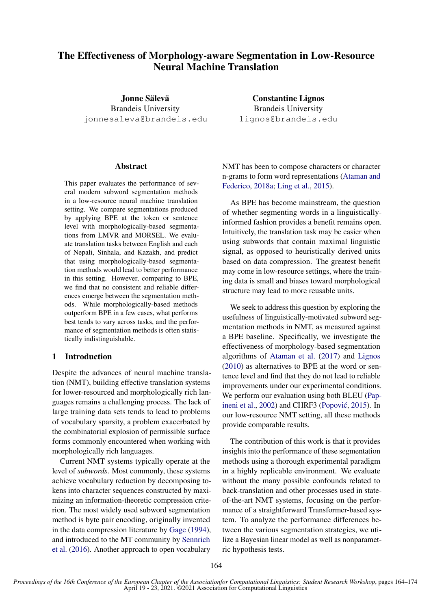# The Effectiveness of Morphology-aware Segmentation in Low-Resource Neural Machine Translation

Jonne Sälevä Brandeis University jonnesaleva@brandeis.edu

# Abstract

This paper evaluates the performance of several modern subword segmentation methods in a low-resource neural machine translation setting. We compare segmentations produced by applying BPE at the token or sentence level with morphologically-based segmentations from LMVR and MORSEL. We evaluate translation tasks between English and each of Nepali, Sinhala, and Kazakh, and predict that using morphologically-based segmentation methods would lead to better performance in this setting. However, comparing to BPE, we find that no consistent and reliable differences emerge between the segmentation methods. While morphologically-based methods outperform BPE in a few cases, what performs best tends to vary across tasks, and the performance of segmentation methods is often statistically indistinguishable.

# 1 Introduction

Despite the advances of neural machine translation (NMT), building effective translation systems for lower-resourced and morphologically rich languages remains a challenging process. The lack of large training data sets tends to lead to problems of vocabulary sparsity, a problem exacerbated by the combinatorial explosion of permissible surface forms commonly encountered when working with morphologically rich languages.

Current NMT systems typically operate at the level of *subwords*. Most commonly, these systems achieve vocabulary reduction by decomposing tokens into character sequences constructed by maximizing an information-theoretic compression criterion. The most widely used subword segmentation method is byte pair encoding, originally invented in the data compression literature by [Gage](#page-6-0) [\(1994\)](#page-6-0), and introduced to the MT community by [Sennrich](#page-7-0) [et al.](#page-7-0) [\(2016\)](#page-7-0). Another approach to open vocabulary

Constantine Lignos Brandeis University lignos@brandeis.edu

NMT has been to compose characters or character n-grams to form word representations [\(Ataman and](#page-5-0) [Federico,](#page-5-0) [2018a;](#page-5-0) [Ling et al.,](#page-6-1) [2015\)](#page-6-1).

As BPE has become mainstream, the question of whether segmenting words in a linguisticallyinformed fashion provides a benefit remains open. Intuitively, the translation task may be easier when using subwords that contain maximal linguistic signal, as opposed to heuristically derived units based on data compression. The greatest benefit may come in low-resource settings, where the training data is small and biases toward morphological structure may lead to more reusable units.

We seek to address this question by exploring the usefulness of linguistically-motivated subword segmentation methods in NMT, as measured against a BPE baseline. Specifically, we investigate the effectiveness of morphology-based segmentation algorithms of [Ataman et al.](#page-5-1) [\(2017\)](#page-5-1) and [Lignos](#page-6-2) [\(2010\)](#page-6-2) as alternatives to BPE at the word or sentence level and find that they do not lead to reliable improvements under our experimental conditions. We perform our evaluation using both BLEU [\(Pap](#page-6-3)[ineni et al.,](#page-6-3) [2002\)](#page-6-3) and CHRF3 (Popović, [2015\)](#page-6-4). In our low-resource NMT setting, all these methods provide comparable results.

The contribution of this work is that it provides insights into the performance of these segmentation methods using a thorough experimental paradigm in a highly replicable environment. We evaluate without the many possible confounds related to back-translation and other processes used in stateof-the-art NMT systems, focusing on the performance of a straightforward Transformer-based system. To analyze the performance differences between the various segmentation strategies, we utilize a Bayesian linear model as well as nonparametric hypothesis tests.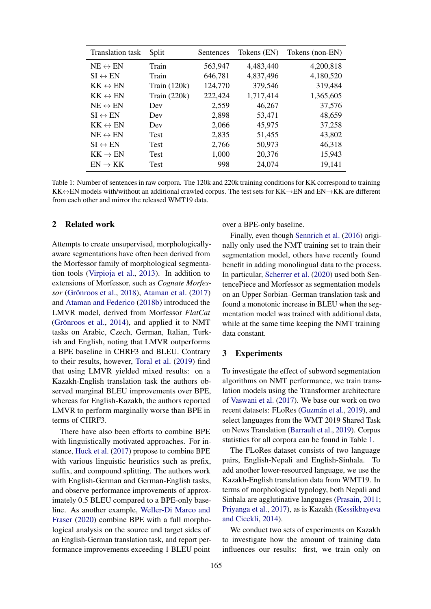<span id="page-1-0"></span>

| <b>Translation</b> task | Split          | Sentences | Tokens (EN) | Tokens (non-EN) |
|-------------------------|----------------|-----------|-------------|-----------------|
| $NE \leftrightarrow EN$ | Train          | 563,947   | 4,483,440   | 4,200,818       |
| $SI \leftrightarrow EN$ | Train          | 646,781   | 4,837,496   | 4,180,520       |
| $KK \leftrightarrow EN$ | Train $(120k)$ | 124,770   | 379,546     | 319,484         |
| $KK \leftrightarrow EN$ | Train $(220k)$ | 222,424   | 1,717,414   | 1,365,605       |
| $NE \leftrightarrow EN$ | Dev            | 2,559     | 46,267      | 37,576          |
| $SI \leftrightarrow EN$ | Dev            | 2,898     | 53,471      | 48,659          |
| $KK \leftrightarrow EN$ | Dev            | 2,066     | 45,975      | 37,258          |
| $NE \leftrightarrow EN$ | <b>Test</b>    | 2,835     | 51,455      | 43,802          |
| $SI \leftrightarrow EN$ | Test           | 2,766     | 50,973      | 46,318          |
| $KK \rightarrow EN$     | Test           | 1,000     | 20,376      | 15,943          |
| $EN \rightarrow KK$     | Test           | 998       | 24,074      | 19,141          |

Table 1: Number of sentences in raw corpora. The 120k and 220k training conditions for KK correspond to training KK↔EN models with/without an additional crawled corpus. The test sets for KK→EN and EN→KK are different from each other and mirror the released WMT19 data.

## 2 Related work

Attempts to create unsupervised, morphologicallyaware segmentations have often been derived from the Morfessor family of morphological segmentation tools [\(Virpioja et al.,](#page-7-1) [2013\)](#page-7-1). In addition to extensions of Morfessor, such as *Cognate Morfessor* (Grönroos et al., [2018\)](#page-6-5), [Ataman et al.](#page-5-1) [\(2017\)](#page-5-1) and [Ataman and Federico](#page-5-2) [\(2018b\)](#page-5-2) introduced the LMVR model, derived from Morfessor *FlatCat* (Grönroos et al.,  $2014$ ), and applied it to NMT tasks on Arabic, Czech, German, Italian, Turkish and English, noting that LMVR outperforms a BPE baseline in CHRF3 and BLEU. Contrary to their results, however, [Toral et al.](#page-7-2) [\(2019\)](#page-7-2) find that using LMVR yielded mixed results: on a Kazakh-English translation task the authors observed marginal BLEU improvements over BPE, whereas for English-Kazakh, the authors reported LMVR to perform marginally worse than BPE in terms of CHRF3.

There have also been efforts to combine BPE with linguistically motivated approaches. For instance, [Huck et al.](#page-6-7) [\(2017\)](#page-6-7) propose to combine BPE with various linguistic heuristics such as prefix, suffix, and compound splitting. The authors work with English-German and German-English tasks, and observe performance improvements of approximately 0.5 BLEU compared to a BPE-only baseline. As another example, [Weller-Di Marco and](#page-7-3) [Fraser](#page-7-3) [\(2020\)](#page-7-3) combine BPE with a full morphological analysis on the source and target sides of an English-German translation task, and report performance improvements exceeding 1 BLEU point over a BPE-only baseline.

Finally, even though [Sennrich et al.](#page-7-0) [\(2016\)](#page-7-0) originally only used the NMT training set to train their segmentation model, others have recently found benefit in adding monolingual data to the process. In particular, [Scherrer et al.](#page-7-4) [\(2020\)](#page-7-4) used both SentencePiece and Morfessor as segmentation models on an Upper Sorbian–German translation task and found a monotonic increase in BLEU when the segmentation model was trained with additional data, while at the same time keeping the NMT training data constant.

# 3 Experiments

To investigate the effect of subword segmentation algorithms on NMT performance, we train translation models using the Transformer architecture of [Vaswani et al.](#page-7-5) [\(2017\)](#page-7-5). We base our work on two recent datasets: FLoRes (Guzmán et al., [2019\)](#page-6-8), and select languages from the WMT 2019 Shared Task on News Translation [\(Barrault et al.,](#page-5-3) [2019\)](#page-5-3). Corpus statistics for all corpora can be found in Table [1.](#page-1-0)

The FLoRes dataset consists of two language pairs, English-Nepali and English-Sinhala. To add another lower-resourced language, we use the Kazakh-English translation data from WMT19. In terms of morphological typology, both Nepali and Sinhala are agglutinative languages [\(Prasain,](#page-6-9) [2011;](#page-6-9) [Priyanga et al.,](#page-6-10) [2017\)](#page-6-10), as is Kazakh [\(Kessikbayeva](#page-6-11) [and Cicekli,](#page-6-11) [2014\)](#page-6-11).

We conduct two sets of experiments on Kazakh to investigate how the amount of training data influences our results: first, we train only on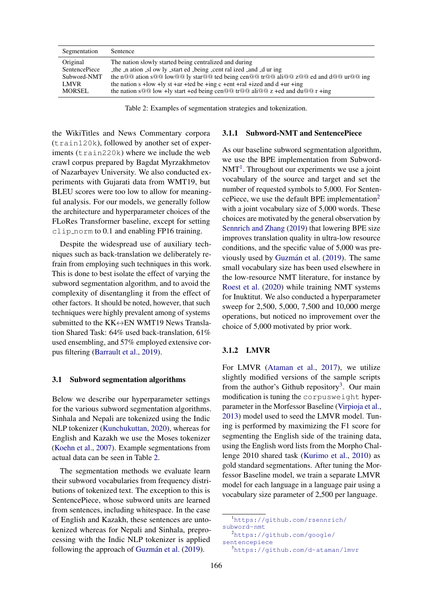<span id="page-2-0"></span>

| Segmentation         | Sentence                                                                             |
|----------------------|--------------------------------------------------------------------------------------|
| Original             | The nation slowly started being centralized and during                               |
| <b>SentencePiece</b> | the n ation sl ow ly start ed being cent ral ized and during                         |
| Subword-NMT          | the n@@ ation s@@ low@@ ly star@@ ted being cen@@ tr@@ ali@@ z@@ ed and d@@ ur@@ ing |
| <b>LMVR</b>          | the nation s +low +ly st +ar +ted be +ing c +ent +ral +ized and d +ur +ing           |
| MORSEL               | the nation sQQ low +ly start +ed being cenQQ trQQ aliQQ z +ed and duQQ r +ing        |
|                      |                                                                                      |

Table 2: Examples of segmentation strategies and tokenization.

the WikiTitles and News Commentary corpora (train120k), followed by another set of experiments (train220k) where we include the web crawl corpus prepared by Bagdat Myrzakhmetov of Nazarbayev University. We also conducted experiments with Gujarati data from WMT19, but BLEU scores were too low to allow for meaningful analysis. For our models, we generally follow the architecture and hyperparameter choices of the FLoRes Transformer baseline, except for setting clip norm to 0.1 and enabling FP16 training.

Despite the widespread use of auxiliary techniques such as back-translation we deliberately refrain from employing such techniques in this work. This is done to best isolate the effect of varying the subword segmentation algorithm, and to avoid the complexity of disentangling it from the effect of other factors. It should be noted, however, that such techniques were highly prevalent among of systems submitted to the  $KK \leftrightarrow EN$  WMT19 News Translation Shared Task: 64% used back-translation, 61% used ensembling, and 57% employed extensive corpus filtering [\(Barrault et al.,](#page-5-3) [2019\)](#page-5-3).

#### 3.1 Subword segmentation algorithms

Below we describe our hyperparameter settings for the various subword segmentation algorithms. Sinhala and Nepali are tokenized using the Indic NLP tokenizer [\(Kunchukuttan,](#page-6-12) [2020\)](#page-6-12), whereas for English and Kazakh we use the Moses tokenizer [\(Koehn et al.,](#page-6-13) [2007\)](#page-6-13). Example segmentations from actual data can be seen in Table [2.](#page-2-0)

The segmentation methods we evaluate learn their subword vocabularies from frequency distributions of tokenized text. The exception to this is SentencePiece, whose subword units are learned from sentences, including whitespace. In the case of English and Kazakh, these sentences are untokenized whereas for Nepali and Sinhala, preprocessing with the Indic NLP tokenizer is applied following the approach of Guzmán et al. [\(2019\)](#page-6-8).

# 3.1.1 Subword-NMT and SentencePiece

As our baseline subword segmentation algorithm, we use the BPE implementation from Subword- $NMT<sup>1</sup>$  $NMT<sup>1</sup>$  $NMT<sup>1</sup>$ . Throughout our experiments we use a joint vocabulary of the source and target and set the number of requested symbols to 5,000. For Senten-cePiece, we use the default BPE implementation<sup>[2](#page-2-2)</sup> with a joint vocabulary size of 5,000 words. These choices are motivated by the general observation by [Sennrich and Zhang](#page-7-6) [\(2019\)](#page-7-6) that lowering BPE size improves translation quality in ultra-low resource conditions, and the specific value of 5,000 was pre-viously used by Guzmán et al. [\(2019\)](#page-6-8). The same small vocabulary size has been used elsewhere in the low-resource NMT literature, for instance by [Roest et al.](#page-6-14) [\(2020\)](#page-6-14) while training NMT systems for Inuktitut. We also conducted a hyperparameter sweep for 2,500, 5,000, 7,500 and 10,000 merge operations, but noticed no improvement over the choice of 5,000 motivated by prior work.

#### 3.1.2 LMVR

For LMVR [\(Ataman et al.,](#page-5-1) [2017\)](#page-5-1), we utilize slightly modified versions of the sample scripts from the author's Github repository<sup>[3](#page-2-3)</sup>. Our main modification is tuning the corpusweight hyperparameter in the Morfessor Baseline [\(Virpioja et al.,](#page-7-1) [2013\)](#page-7-1) model used to seed the LMVR model. Tuning is performed by maximizing the F1 score for segmenting the English side of the training data, using the English word lists from the Morpho Challenge 2010 shared task [\(Kurimo et al.,](#page-6-15) [2010\)](#page-6-15) as gold standard segmentations. After tuning the Morfessor Baseline model, we train a separate LMVR model for each language in a language pair using a vocabulary size parameter of 2,500 per language.

<span id="page-2-1"></span><sup>1</sup>[https://github.com/rsennrich/](https://github.com/rsennrich/subword-nmt) [subword-nmt](https://github.com/rsennrich/subword-nmt)

<span id="page-2-2"></span><sup>2</sup>[https://github.com/google/](https://github.com/google/sentencepiece) [sentencepiece](https://github.com/google/sentencepiece)

<span id="page-2-3"></span><sup>3</sup><https://github.com/d-ataman/lmvr>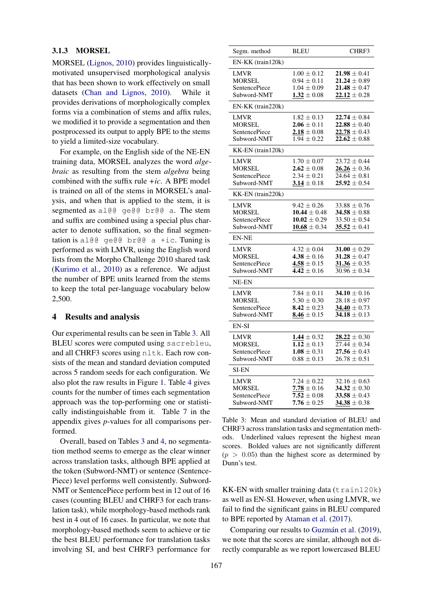# 3.1.3 MORSEL

MORSEL [\(Lignos,](#page-6-2) [2010\)](#page-6-2) provides linguisticallymotivated unsupervised morphological analysis that has been shown to work effectively on small datasets [\(Chan and Lignos,](#page-6-16) [2010\)](#page-6-16). While it provides derivations of morphologically complex forms via a combination of stems and affix rules, we modified it to provide a segmentation and then postprocessed its output to apply BPE to the stems to yield a limited-size vocabulary.

For example, on the English side of the NE-EN training data, MORSEL analyzes the word *algebraic* as resulting from the stem *algebra* being combined with the suffix rule *+ic*. A BPE model is trained on all of the stems in MORSEL's analysis, and when that is applied to the stem, it is segmented as al@@ ge@@ br@@ a. The stem and suffix are combined using a special plus character to denote suffixation, so the final segmentation is al@@  $q \in \mathbb{Q}$  br@@ a +ic. Tuning is performed as with LMVR, using the English word lists from the Morpho Challenge 2010 shared task [\(Kurimo et al.,](#page-6-15) [2010\)](#page-6-15) as a reference. We adjust the number of BPE units learned from the stems to keep the total per-language vocabulary below 2,500.

# 4 Results and analysis

Our experimental results can be seen in Table [3.](#page-3-0) All BLEU scores were computed using sacrebleu, and all CHRF3 scores using nltk. Each row consists of the mean and standard deviation computed across 5 random seeds for each configuration. We also plot the raw results in Figure [1.](#page-4-0) Table [4](#page-4-1) gives counts for the number of times each segmentation approach was the top-performing one or statistically indistinguishable from it. Table [7](#page-10-0) in the appendix gives *p*-values for all comparisons performed.

Overall, based on Tables [3](#page-3-0) and [4,](#page-4-1) no segmentation method seems to emerge as the clear winner across translation tasks, although BPE applied at the token (Subword-NMT) or sentence (Sentence-Piece) level performs well consistently. Subword-NMT or SentencePiece perform best in 12 out of 16 cases (counting BLEU and CHRF3 for each translation task), while morphology-based methods rank best in 4 out of 16 cases. In particular, we note that morphology-based methods seem to achieve or tie the best BLEU performance for translation tasks involving SI, and best CHRF3 performance for

<span id="page-3-0"></span>

| Segm. method                                                        | <b>BLEU</b>                                                                     | CHRF3                                                                                   |
|---------------------------------------------------------------------|---------------------------------------------------------------------------------|-----------------------------------------------------------------------------------------|
| EN-KK (train120k)                                                   |                                                                                 |                                                                                         |
| LMVR<br><b>MORSEL</b><br><b>SentencePiece</b><br>Subword-NMT        | $1.00 \pm 0.12$<br>$0.94 \pm 0.11$<br>$1.04 \pm 0.09$<br>$1.32 \pm 0.08$        | $21.98 \pm 0.41$<br>$21.24 \pm 0.89$<br>$21.48 \pm 0.47$<br>$22.12 \pm 0.28$            |
| EN-KK (train220k)                                                   |                                                                                 |                                                                                         |
| LMVR<br><b>MORSEL</b><br><b>SentencePiece</b><br>Subword-NMT        | $1.82 \pm 0.13$<br>$2.06 \pm 0.11$<br>$2.18 \pm 0.08$<br>$1.94 \pm 0.22$        | $22.74 \pm 0.84$<br>$22.88 \pm 0.40$<br>$22.78 \pm 0.43$<br>$22.62 \pm 0.88$            |
| KK-EN (train120k)                                                   |                                                                                 |                                                                                         |
| LMVR<br><b>MORSEL</b><br><b>SentencePiece</b><br>Subword-NMT        | $1.70\pm0.07$<br>$2.62 \pm 0.08$<br>$2.34 \pm 0.21$<br>$3.14 \pm 0.18$          | $23.72 \pm 0.44$<br>$26.26 \pm 0.36$<br>$\overline{24.64} \pm 0.81$<br>$25.92 \pm 0.54$ |
| KK-EN (train220k)                                                   |                                                                                 |                                                                                         |
| LMVR<br><b>MORSEL</b><br>SentencePiece<br>Subword-NMT               | $9.42 \pm 0.26$<br>$10.44 \pm 0.48$<br>$10.02 \pm 0.29$<br>$10.68 \pm 0.34$     | $33.88 \pm 0.76$<br>$34.58 \pm 0.88$<br>$33.50\pm0.54$<br>$35.52 \pm 0.41$              |
| <b>EN-NE</b>                                                        |                                                                                 |                                                                                         |
| <b>LMVR</b><br><b>MORSEL</b><br><b>SentencePiece</b><br>Subword-NMT | $4.32 \pm 0.04$<br>$4.38 \pm 0.16$<br>$4.58 \pm 0.15$<br>$\sqrt{4.42} \pm 0.16$ | $31.00 \pm 0.29$<br>$31.28 \pm 0.47$<br>$31.36 \pm 0.35$<br>$\overline{30.96} \pm 0.34$ |
| NE-EN                                                               |                                                                                 |                                                                                         |
| LMVR<br>MORSEL<br><b>SentencePiece</b><br>Subword-NMT               | $7.84 \pm 0.11$<br>$5.30 \pm 0.30$<br>$8.42 \pm 0.23$<br>$8.46 \pm 0.15$        | 34.10 $\pm$ 0.16<br>$28.18 \pm 0.97$<br>34.40 $\pm$ 0.73<br>$34.18 \pm 0.13$            |
| EN-SI                                                               |                                                                                 |                                                                                         |
| <b>LMVR</b><br><b>MORSEL</b><br><b>SentencePiece</b><br>Subword-NMT | $1.44 \pm 0.32$<br>$1.12 \pm 0.13$<br>$1.08 \pm 0.31$<br>$0.88 \pm 0.13$        | $28.22 \pm 0.30$<br>$27.44 \pm 0.34$<br>$27.56 \pm 0.43$<br>$26.78 \pm 0.51$            |
| <b>SI-EN</b>                                                        |                                                                                 |                                                                                         |
| LMVR<br><b>MORSEL</b><br><b>SentencePiece</b><br>Subword-NMT        | $7.24 \pm 0.22$<br>$7.78 \pm 0.16$<br>$7.52 \pm 0.08$<br>$7.76 \pm 0.25$        | $32.16 \pm 0.63$<br>34.32 $\pm$ 0.30<br>33.58 $\pm$ 0.43<br>$34.38 \pm 0.38$            |

Table 3: Mean and standard deviation of BLEU and CHRF3 across translation tasks and segmentation methods. Underlined values represent the highest mean scores. Bolded values are not significantly different  $(p > 0.05)$  than the highest score as determined by Dunn's test.

KK-EN with smaller training data (train120k) as well as EN-SI. However, when using LMVR, we fail to find the significant gains in BLEU compared to BPE reported by [Ataman et al.](#page-5-1) [\(2017\)](#page-5-1).

Comparing our results to Guzmán et al. [\(2019\)](#page-6-8), we note that the scores are similar, although not directly comparable as we report lowercased BLEU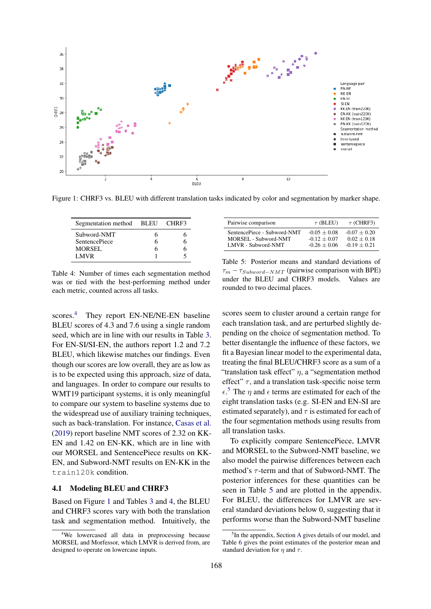<span id="page-4-0"></span>

<span id="page-4-1"></span>Figure 1: CHRF3 vs. BLEU with different translation tasks indicated by color and segmentation by marker shape.

| Segmentation method  | BLEU | CHRF3 |
|----------------------|------|-------|
| Subword-NMT          |      |       |
| <b>SentencePiece</b> |      | n     |
| <b>MORSEL</b>        |      |       |
| LMVR                 |      |       |

Table 4: Number of times each segmentation method was or tied with the best-performing method under each metric, counted across all tasks.

scores.<sup>[4](#page-4-2)</sup> They report EN-NE/NE-EN baseline BLEU scores of 4.3 and 7.6 using a single random seed, which are in line with our results in Table [3.](#page-3-0) For EN-SI/SI-EN, the authors report 1.2 and 7.2 BLEU, which likewise matches our findings. Even though our scores are low overall, they are as low as is to be expected using this approach, size of data, and languages. In order to compare our results to WMT19 participant systems, it is only meaningful to compare our system to baseline systems due to the widespread use of auxiliary training techniques, such as back-translation. For instance, [Casas et al.](#page-6-17) [\(2019\)](#page-6-17) report baseline NMT scores of 2.32 on KK-EN and 1.42 on EN-KK, which are in line with our MORSEL and SentencePiece results on KK-EN, and Subword-NMT results on EN-KK in the train120k condition.

# 4.1 Modeling BLEU and CHRF3

Based on Figure [1](#page-4-0) and Tables [3](#page-3-0) and [4,](#page-4-1) the BLEU and CHRF3 scores vary with both the translation task and segmentation method. Intuitively, the

<span id="page-4-4"></span>

| Pairwise comparison         | $\tau$ (BLEU)  | $\tau$ (CHRF3) |
|-----------------------------|----------------|----------------|
| SentencePiece - Subword-NMT | $-0.05 + 0.08$ | $-0.07 + 0.20$ |
| MORSEL - Subword-NMT        | $-0.12 + 0.07$ | $0.02 + 0.18$  |
| LMVR - Subword-NMT          | $-0.26 + 0.06$ | $-0.19 + 0.21$ |

Table 5: Posterior means and standard deviations of  $\tau_m - \tau_{Subword-NMT}$  (pairwise comparison with BPE) under the BLEU and CHRF3 models. Values are rounded to two decimal places.

scores seem to cluster around a certain range for each translation task, and are perturbed slightly depending on the choice of segmentation method. To better disentangle the influence of these factors, we fit a Bayesian linear model to the experimental data, treating the final BLEU/CHRF3 score as a sum of a "translation task effect"  $\eta$ , a "segmentation method effect"  $\tau$ , and a translation task-specific noise term  $\epsilon$ <sup>[5](#page-4-3)</sup>. The  $\eta$  and  $\epsilon$  terms are estimated for each of the eight translation tasks (e.g. SI-EN and EN-SI are estimated separately), and  $\tau$  is estimated for each of the four segmentation methods using results from all translation tasks.

To explicitly compare SentencePiece, LMVR and MORSEL to the Subword-NMT baseline, we also model the pairwise differences between each method's  $\tau$ -term and that of Subword-NMT. The posterior inferences for these quantities can be seen in Table [5](#page-4-4) and are plotted in the appendix. For BLEU, the differences for LMVR are several standard deviations below 0, suggesting that it performs worse than the Subword-NMT baseline

<span id="page-4-2"></span><sup>&</sup>lt;sup>4</sup>We lowercased all data in preprocessing because MORSEL and Morfessor, which LMVR is derived from, are designed to operate on lowercase inputs.

<span id="page-4-3"></span><sup>&</sup>lt;sup>5</sup>In the appendix, Section [A](#page-7-7) gives details of our model, and Table [6](#page-7-8) gives the point estimates of the posterior mean and standard deviation for  $\eta$  and  $\tau$ .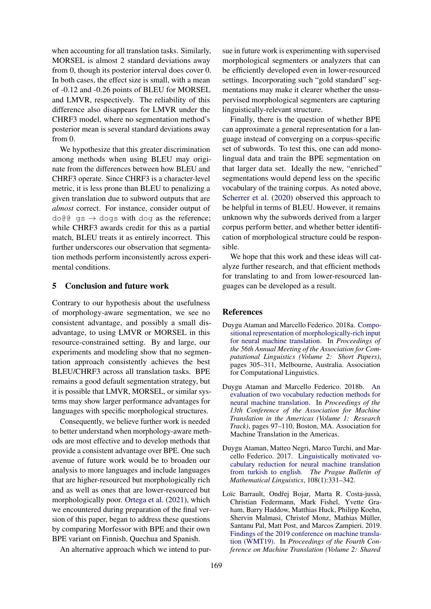when accounting for all translation tasks. Similarly, MORSEL is almost 2 standard deviations away from 0, though its posterior interval does cover 0. In both cases, the effect size is small, with a mean of -0.12 and -0.26 points of BLEU for MORSEL and LMVR, respectively. The reliability of this difference also disappears for LMVR under the CHRF3 model, where no segmentation method's posterior mean is several standard deviations away from 0.

We hypothesize that this greater discrimination among methods when using BLEU may originate from the differences between how BLEU and CHRF3 operate. Since CHRF3 is a character-level metric, it is less prone than BLEU to penalizing a given translation due to subword outputs that are *almost* correct. For instance, consider output of  $d$ o $d$  $g$   $\alpha$   $\rightarrow$  dogs with dog as the reference; while CHRF3 awards credit for this as a partial match, BLEU treats it as entirely incorrect. This further underscores our observation that segmentation methods perform inconsistently across experimental conditions.

## 5 Conclusion and future work

Contrary to our hypothesis about the usefulness of morphology-aware segmentation, we see no consistent advantage, and possibly a small disadvantage, to using LMVR or MORSEL in this resource-constrained setting. By and large, our experiments and modeling show that no segmentation approach consistently achieves the best BLEU/CHRF3 across all translation tasks. BPE remains a good default segmentation strategy, but it is possible that LMVR, MORSEL, or similar systems may show larger performance advantages for languages with specific morphological structures.

Consequently, we believe further work is needed to better understand when morphology-aware methods are most effective and to develop methods that provide a consistent advantage over BPE. One such avenue of future work would be to broaden our analysis to more languages and include languages that are higher-resourced but morphologically rich and as well as ones that are lower-resourced but morphologically poor. [Ortega et al.](#page-6-18) [\(2021\)](#page-6-18), which we encountered during preparation of the final version of this paper, began to address these questions by comparing Morfessor with BPE and their own BPE variant on Finnish, Quechua and Spanish.

An alternative approach which we intend to pur-

sue in future work is experimenting with supervised morphological segmenters or analyzers that can be efficiently developed even in lower-resourced settings. Incorporating such "gold standard" segmentations may make it clearer whether the unsupervised morphological segmenters are capturing linguistically-relevant structure.

Finally, there is the question of whether BPE can approximate a general representation for a language instead of converging on a corpus-specific set of subwords. To test this, one can add monolingual data and train the BPE segmentation on that larger data set. Ideally the new, "enriched" segmentations would depend less on the specific vocabulary of the training corpus. As noted above, [Scherrer et al.](#page-7-4) [\(2020\)](#page-7-4) observed this approach to be helpful in terms of BLEU. However, it remains unknown why the subwords derived from a larger corpus perform better, and whether better identification of morphological structure could be responsible.

We hope that this work and these ideas will catalyze further research, and that efficient methods for translating to and from lower-resourced languages can be developed as a result.

# References

- <span id="page-5-0"></span>Duygu Ataman and Marcello Federico. 2018a. [Compo](https://doi.org/10.18653/v1/P18-2049)[sitional representation of morphologically-rich input](https://doi.org/10.18653/v1/P18-2049) [for neural machine translation.](https://doi.org/10.18653/v1/P18-2049) In *Proceedings of the 56th Annual Meeting of the Association for Computational Linguistics (Volume 2: Short Papers)*, pages 305–311, Melbourne, Australia. Association for Computational Linguistics.
- <span id="page-5-2"></span>Duygu Ataman and Marcello Federico. 2018b. [An](https://www.aclweb.org/anthology/W18-1810) [evaluation of two vocabulary reduction methods for](https://www.aclweb.org/anthology/W18-1810) [neural machine translation.](https://www.aclweb.org/anthology/W18-1810) In *Proceedings of the 13th Conference of the Association for Machine Translation in the Americas (Volume 1: Research Track)*, pages 97–110, Boston, MA. Association for Machine Translation in the Americas.
- <span id="page-5-1"></span>Duygu Ataman, Matteo Negri, Marco Turchi, and Marcello Federico. 2017. [Linguistically motivated vo](https://ufal.mff.cuni.cz/pbml/108/art-ataman-negri-turchi-federico.pdf)[cabulary reduction for neural machine translation](https://ufal.mff.cuni.cz/pbml/108/art-ataman-negri-turchi-federico.pdf) [from turkish to english.](https://ufal.mff.cuni.cz/pbml/108/art-ataman-negri-turchi-federico.pdf) *The Prague Bulletin of Mathematical Linguistics*, 108(1):331–342.
- <span id="page-5-3"></span>Loïc Barrault, Ondřej Bojar, Marta R. Costa-jussà, Christian Federmann, Mark Fishel, Yvette Graham, Barry Haddow, Matthias Huck, Philipp Koehn, Shervin Malmasi, Christof Monz, Mathias Müller, Santanu Pal, Matt Post, and Marcos Zampieri. 2019. [Findings of the 2019 conference on machine transla](https://doi.org/10.18653/v1/W19-5301)[tion \(WMT19\).](https://doi.org/10.18653/v1/W19-5301) In *Proceedings of the Fourth Conference on Machine Translation (Volume 2: Shared*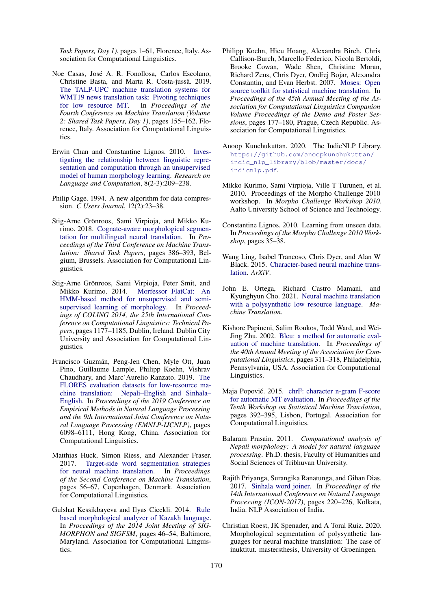*Task Papers, Day 1)*, pages 1–61, Florence, Italy. Association for Computational Linguistics.

- <span id="page-6-17"></span>Noe Casas, Jose A. R. Fonollosa, Carlos Escolano, ´ Christine Basta, and Marta R. Costa-jussa. 2019. ` [The TALP-UPC machine translation systems for](https://doi.org/10.18653/v1/W19-5311) [WMT19 news translation task: Pivoting techniques](https://doi.org/10.18653/v1/W19-5311) [for low resource MT.](https://doi.org/10.18653/v1/W19-5311) In *Proceedings of the Fourth Conference on Machine Translation (Volume 2: Shared Task Papers, Day 1)*, pages 155–162, Florence, Italy. Association for Computational Linguistics.
- <span id="page-6-16"></span>Erwin Chan and Constantine Lignos. 2010. [Inves](https://link.springer.com/article/10.1007/s11168-011-9077-2)[tigating the relationship between linguistic repre](https://link.springer.com/article/10.1007/s11168-011-9077-2)[sentation and computation through an unsupervised](https://link.springer.com/article/10.1007/s11168-011-9077-2) [model of human morphology learning.](https://link.springer.com/article/10.1007/s11168-011-9077-2) *Research on Language and Computation*, 8(2-3):209–238.
- <span id="page-6-0"></span>Philip Gage. 1994. A new algorithm for data compression. *C Users Journal*, 12(2):23–38.
- <span id="page-6-5"></span>Stig-Arne Grönroos, Sami Virpioja, and Mikko Kurimo. 2018. [Cognate-aware morphological segmen](https://doi.org/10.18653/v1/W18-6410)[tation for multilingual neural translation.](https://doi.org/10.18653/v1/W18-6410) In *Proceedings of the Third Conference on Machine Translation: Shared Task Papers*, pages 386–393, Belgium, Brussels. Association for Computational Linguistics.
- <span id="page-6-6"></span>Stig-Arne Grönroos, Sami Virpioja, Peter Smit, and Mikko Kurimo. 2014. [Morfessor FlatCat: An](https://www.aclweb.org/anthology/C14-1111) [HMM-based method for unsupervised and semi](https://www.aclweb.org/anthology/C14-1111)[supervised learning of morphology.](https://www.aclweb.org/anthology/C14-1111) In *Proceedings of COLING 2014, the 25th International Conference on Computational Linguistics: Technical Papers*, pages 1177–1185, Dublin, Ireland. Dublin City University and Association for Computational Linguistics.
- <span id="page-6-8"></span>Francisco Guzmán, Peng-Jen Chen, Myle Ott, Juan Pino, Guillaume Lample, Philipp Koehn, Vishrav Chaudhary, and Marc'Aurelio Ranzato. 2019. [The](https://doi.org/10.18653/v1/D19-1632) [FLORES evaluation datasets for low-resource ma](https://doi.org/10.18653/v1/D19-1632)[chine translation: Nepali–English and Sinhala–](https://doi.org/10.18653/v1/D19-1632) [English.](https://doi.org/10.18653/v1/D19-1632) In *Proceedings of the 2019 Conference on Empirical Methods in Natural Language Processing and the 9th International Joint Conference on Natural Language Processing (EMNLP-IJCNLP)*, pages 6098–6111, Hong Kong, China. Association for Computational Linguistics.
- <span id="page-6-7"></span>Matthias Huck, Simon Riess, and Alexander Fraser. 2017. [Target-side word segmentation strategies](https://doi.org/10.18653/v1/W17-4706) [for neural machine translation.](https://doi.org/10.18653/v1/W17-4706) In *Proceedings of the Second Conference on Machine Translation*, pages 56–67, Copenhagen, Denmark. Association for Computational Linguistics.
- <span id="page-6-11"></span>Gulshat Kessikbayeva and Ilyas Cicekli. 2014. [Rule](https://doi.org/10.3115/v1/W14-2806) [based morphological analyzer of Kazakh language.](https://doi.org/10.3115/v1/W14-2806) In *Proceedings of the 2014 Joint Meeting of SIG-MORPHON and SIGFSM*, pages 46–54, Baltimore, Maryland. Association for Computational Linguistics.
- <span id="page-6-13"></span>Philipp Koehn, Hieu Hoang, Alexandra Birch, Chris Callison-Burch, Marcello Federico, Nicola Bertoldi, Brooke Cowan, Wade Shen, Christine Moran, Richard Zens, Chris Dyer, Ondřej Bojar, Alexandra Constantin, and Evan Herbst. 2007. [Moses: Open](https://www.aclweb.org/anthology/P07-2045) [source toolkit for statistical machine translation.](https://www.aclweb.org/anthology/P07-2045) In *Proceedings of the 45th Annual Meeting of the Association for Computational Linguistics Companion Volume Proceedings of the Demo and Poster Sessions*, pages 177–180, Prague, Czech Republic. Association for Computational Linguistics.
- <span id="page-6-12"></span>Anoop Kunchukuttan. 2020. The IndicNLP Library. [https://github.com/anoopkunchukuttan/](https://github.com/anoopkunchukuttan/indic_nlp_library/blob/master/docs/indicnlp.pdf) [indic\\_nlp\\_library/blob/master/docs/](https://github.com/anoopkunchukuttan/indic_nlp_library/blob/master/docs/indicnlp.pdf) [indicnlp.pdf](https://github.com/anoopkunchukuttan/indic_nlp_library/blob/master/docs/indicnlp.pdf).
- <span id="page-6-15"></span>Mikko Kurimo, Sami Virpioja, Ville T Turunen, et al. 2010. Proceedings of the Morpho Challenge 2010 workshop. In *Morpho Challenge Workshop 2010*. Aalto University School of Science and Technology.
- <span id="page-6-2"></span>Constantine Lignos. 2010. Learning from unseen data. In *Proceedings of the Morpho Challenge 2010 Workshop*, pages 35–38.
- <span id="page-6-1"></span>Wang Ling, Isabel Trancoso, Chris Dyer, and Alan W Black. 2015. [Character-based neural machine trans](http://arxiv.org/abs/1511.04586v1)[lation.](http://arxiv.org/abs/1511.04586v1) *ArXiV*.
- <span id="page-6-18"></span>John E. Ortega, Richard Castro Mamani, and Kyunghyun Cho. 2021. [Neural machine translation](https://doi.org/10.1007/s10590-020-09255-9) [with a polysynthetic low resource language.](https://doi.org/10.1007/s10590-020-09255-9) *Machine Translation*.
- <span id="page-6-3"></span>Kishore Papineni, Salim Roukos, Todd Ward, and Wei-Jing Zhu. 2002. [Bleu: a method for automatic eval](https://doi.org/10.3115/1073083.1073135)[uation of machine translation.](https://doi.org/10.3115/1073083.1073135) In *Proceedings of the 40th Annual Meeting of the Association for Computational Linguistics*, pages 311–318, Philadelphia, Pennsylvania, USA. Association for Computational Linguistics.
- <span id="page-6-4"></span>Maja Popović. 2015. [chrF: character n-gram F-score](https://doi.org/10.18653/v1/W15-3049) [for automatic MT evaluation.](https://doi.org/10.18653/v1/W15-3049) In *Proceedings of the Tenth Workshop on Statistical Machine Translation*, pages 392–395, Lisbon, Portugal. Association for Computational Linguistics.
- <span id="page-6-9"></span>Balaram Prasain. 2011. *Computational analysis of Nepali morphology: A model for natural language processing*. Ph.D. thesis, Faculty of Humanities and Social Sciences of Tribhuvan University.
- <span id="page-6-10"></span>Rajith Priyanga, Surangika Ranatunga, and Gihan Dias. 2017. [Sinhala word joiner.](https://www.aclweb.org/anthology/W17-7528) In *Proceedings of the 14th International Conference on Natural Language Processing (ICON-2017)*, pages 220–226, Kolkata, India. NLP Association of India.
- <span id="page-6-14"></span>Christian Roest, JK Spenader, and A Toral Ruiz. 2020. Morphological segmentation of polysynthetic languages for neural machine translation: The case of inuktitut. mastersthesis, University of Groeningen.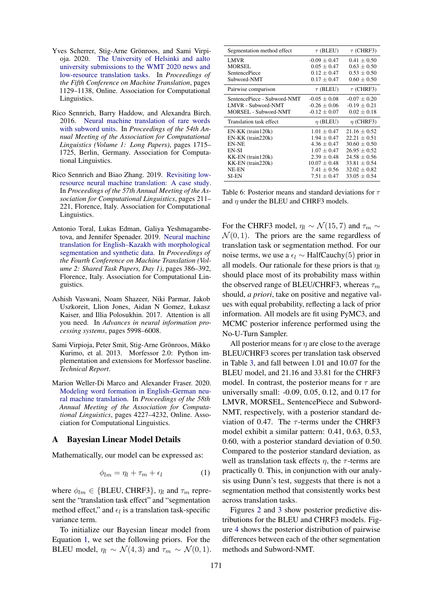- <span id="page-7-4"></span>Yves Scherrer, Stig-Arne Grönroos, and Sami Virpioja. 2020. [The University of Helsinki and aalto](https://www.aclweb.org/anthology/2020.wmt-1.134) [university submissions to the WMT 2020 news and](https://www.aclweb.org/anthology/2020.wmt-1.134) [low-resource translation tasks.](https://www.aclweb.org/anthology/2020.wmt-1.134) In *Proceedings of the Fifth Conference on Machine Translation*, pages 1129–1138, Online. Association for Computational Linguistics.
- <span id="page-7-0"></span>Rico Sennrich, Barry Haddow, and Alexandra Birch. 2016. [Neural machine translation of rare words](https://doi.org/10.18653/v1/P16-1162) [with subword units.](https://doi.org/10.18653/v1/P16-1162) In *Proceedings of the 54th Annual Meeting of the Association for Computational Linguistics (Volume 1: Long Papers)*, pages 1715– 1725, Berlin, Germany. Association for Computational Linguistics.
- <span id="page-7-6"></span>Rico Sennrich and Biao Zhang. 2019. [Revisiting low](https://doi.org/10.18653/v1/P19-1021)[resource neural machine translation: A case study.](https://doi.org/10.18653/v1/P19-1021) In *Proceedings of the 57th Annual Meeting of the Association for Computational Linguistics*, pages 211– 221, Florence, Italy. Association for Computational Linguistics.
- <span id="page-7-2"></span>Antonio Toral, Lukas Edman, Galiya Yeshmagambetova, and Jennifer Spenader. 2019. [Neural machine](https://doi.org/10.18653/v1/W19-5343) [translation for English–Kazakh with morphological](https://doi.org/10.18653/v1/W19-5343) [segmentation and synthetic data.](https://doi.org/10.18653/v1/W19-5343) In *Proceedings of the Fourth Conference on Machine Translation (Volume 2: Shared Task Papers, Day 1)*, pages 386–392, Florence, Italy. Association for Computational Linguistics.
- <span id="page-7-5"></span>Ashish Vaswani, Noam Shazeer, Niki Parmar, Jakob Uszkoreit, Llion Jones, Aidan N Gomez, Łukasz Kaiser, and Illia Polosukhin. 2017. Attention is all you need. In *Advances in neural information processing systems*, pages 5998–6008.
- <span id="page-7-1"></span>Sami Virpioja, Peter Smit, Stig-Arne Grönroos, Mikko Kurimo, et al. 2013. Morfessor 2.0: Python implementation and extensions for Morfessor baseline. *Technical Report*.
- <span id="page-7-3"></span>Marion Weller-Di Marco and Alexander Fraser. 2020. [Modeling word formation in English–German neu](https://doi.org/10.18653/v1/2020.acl-main.389)[ral machine translation.](https://doi.org/10.18653/v1/2020.acl-main.389) In *Proceedings of the 58th Annual Meeting of the Association for Computational Linguistics*, pages 4227–4232, Online. Association for Computational Linguistics.

### <span id="page-7-7"></span>A Bayesian Linear Model Details

Mathematically, our model can be expressed as:

$$
\phi_{lm} = \eta_l + \tau_m + \epsilon_l \tag{1}
$$

where  $\phi_{lm} \in \{BLEU, CHRF3\}$ ,  $\eta_l$  and  $\tau_m$  represent the "translation task effect" and "segmentation method effect," and  $\epsilon_l$  is a translation task-specific variance term.

To initialize our Bayesian linear model from Equation [1,](#page-7-9) we set the following priors. For the BLEU model,  $\eta_l \sim \mathcal{N}(4, 3)$  and  $\tau_m \sim \mathcal{N}(0, 1)$ .

<span id="page-7-8"></span>

| Segmentation method effect  | $\tau$ (BLEU)    | $\tau$ (CHRF3)   |
|-----------------------------|------------------|------------------|
| <b>LMVR</b>                 | $-0.09 \pm 0.47$ | $0.41 + 0.50$    |
| <b>MORSEL</b>               | $0.05 + 0.47$    | $0.63 \pm 0.50$  |
| <b>SentencePiece</b>        | $0.12 \pm 0.47$  | $0.53 \pm 0.50$  |
| Subword-NMT                 | $0.17 \pm 0.47$  | $0.60 \pm 0.50$  |
| Pairwise comparison         | $\tau$ (BLEU)    | $\tau$ (CHRF3)   |
| SentencePiece - Subword-NMT | $-0.05 \pm 0.08$ | $-0.07 \pm 0.20$ |
| LMVR - Subword-NMT          | $-0.26 \pm 0.06$ | $-0.19 \pm 0.21$ |
| MORSEL - Subword-NMT        | $-0.12 \pm 0.07$ | $0.02 + 0.18$    |
| Translation task effect     | $\eta$ (BLEU)    | $\eta$ (CHRF3)   |
| $EN-KK$ (train 120 $k$ )    | $1.01 \pm 0.47$  | $21.16 \pm 0.52$ |
| EN-KK (train220k)           | $1.94 \pm 0.47$  | $22.21 \pm 0.51$ |
| EN-NE                       | $4.36 + 0.47$    | $30.60 + 0.50$   |
| EN-SI                       | $1.07 + 0.47$    | $26.95 + 0.52$   |
| KK-EN (train120k)           | $2.39 \pm 0.48$  | $24.58 \pm 0.56$ |
| $KK-EN$ (train 220 $k$ )    | $10.07 \pm 0.48$ | $33.81 \pm 0.54$ |
| NE-EN                       | $7.41 \pm 0.56$  | $32.02 \pm 0.82$ |
| SI-EN                       | $7.51 + 0.47$    | $33.05 + 0.54$   |

Table 6: Posterior means and standard deviations for  $\tau$ and  $\eta$  under the BLEU and CHRF3 models.

For the CHRF3 model,  $\eta_l \sim \mathcal{N}(15, 7)$  and  $\tau_m \sim$  $\mathcal{N}(0, 1)$ . The priors are the same regardless of translation task or segmentation method. For our noise terms, we use a  $\epsilon_l$  ∼ HalfCauchy(5) prior in all models. Our rationale for these priors is that  $\eta_l$ should place most of its probability mass within the observed range of BLEU/CHRF3, whereas  $\tau_m$ should, *a priori*, take on positive and negative values with equal probability, reflecting a lack of prior information. All models are fit using PyMC3, and MCMC posterior inference performed using the No-U-Turn Sampler.

All posterior means for  $\eta$  are close to the average BLEU/CHRF3 scores per translation task observed in Table [3,](#page-3-0) and fall between 1.01 and 10.07 for the BLEU model, and 21.16 and 33.81 for the CHRF3 model. In contrast, the posterior means for  $\tau$  are universally small: -0.09, 0.05, 0.12, and 0.17 for LMVR, MORSEL, SentencePiece and Subword-NMT, respectively, with a posterior standard deviation of 0.47. The  $\tau$ -terms under the CHRF3 model exhibit a similar pattern: 0.41, 0.63, 0.53, 0.60, with a posterior standard deviation of 0.50. Compared to the posterior standard deviation, as well as translation task effects  $\eta$ , the  $\tau$ -terms are practically 0. This, in conjunction with our analysis using Dunn's test, suggests that there is not a segmentation method that consistently works best across translation tasks.

<span id="page-7-9"></span>Figures [2](#page-8-0) and [3](#page-8-1) show posterior predictive distributions for the BLEU and CHRF3 models. Figure [4](#page-9-0) shows the posterior distribution of pairwise differences between each of the other segmentation methods and Subword-NMT.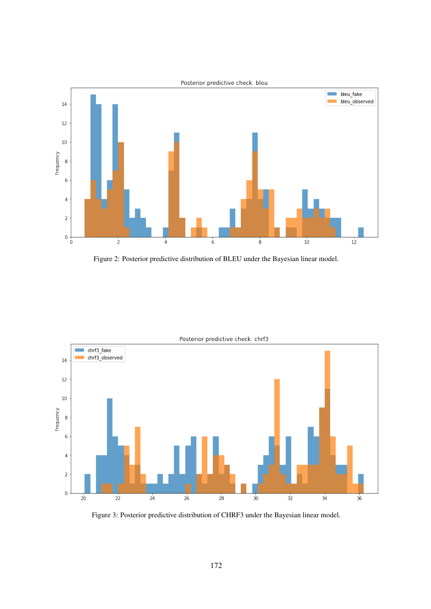<span id="page-8-0"></span>

Figure 2: Posterior predictive distribution of BLEU under the Bayesian linear model.

<span id="page-8-1"></span>

Figure 3: Posterior predictive distribution of CHRF3 under the Bayesian linear model.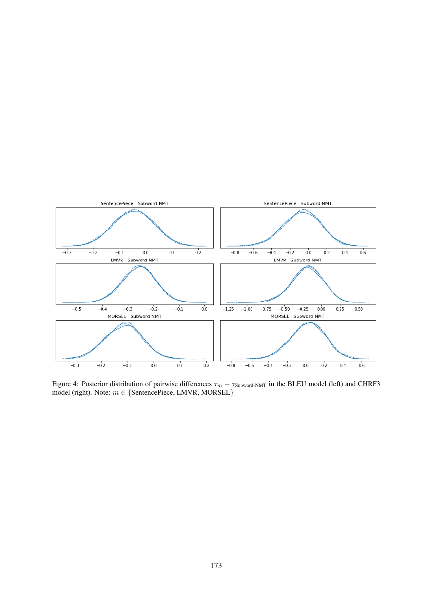<span id="page-9-0"></span>

Figure 4: Posterior distribution of pairwise differences  $\tau_m - \tau_{\text{Subword-NMT}}$  in the BLEU model (left) and CHRF3 model (right). Note:  $m \in \{$ SentencePiece, LMVR, MORSEL $\}$